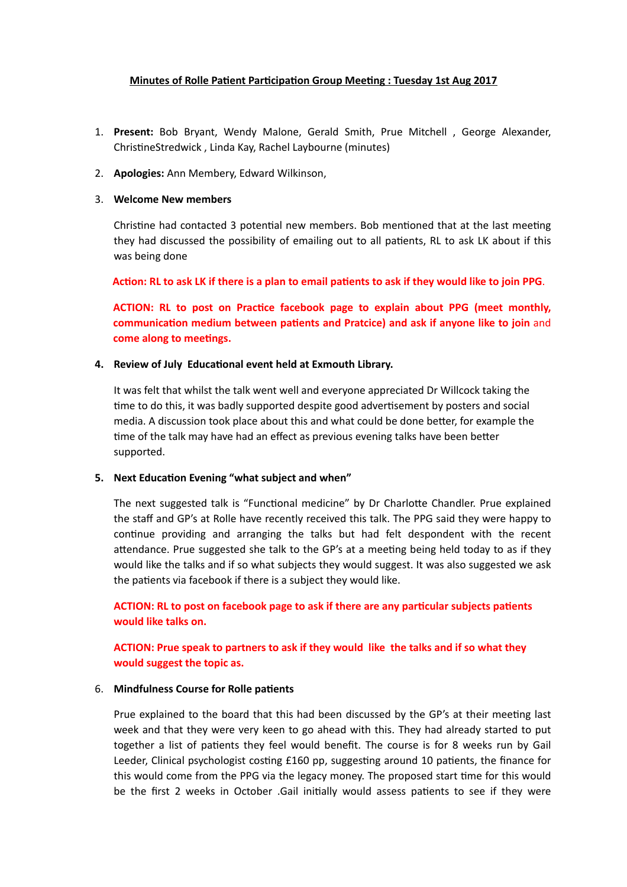# **Minutes of Rolle Patient Participation Group Meeting : Tuesday 1st Aug 2017**

- 1. **Present:** Bob Bryant, Wendy Malone, Gerald Smith, Prue Mitchell , George Alexander, ChristineStredwick, Linda Kay, Rachel Laybourne (minutes)
- 2. **Apologies:** Ann Membery, Edward Wilkinson,

# 3. **Welcome New members**

Christine had contacted 3 potential new members. Bob mentioned that at the last meeting they had discussed the possibility of emailing out to all patients, RL to ask LK about if this was being done

Action: RL to ask LK if there is a plan to email patients to ask if they would like to join PPG.

**ACTION: RL to post on Practice facebook page to explain about PPG (meet monthly, communication medium between patients and Pratcice) and ask if anyone like to join** and **come along to meetings.** 

#### **4.** Review of July Educational event held at Exmouth Library.

It was felt that whilst the talk went well and everyone appreciated Dr Willcock taking the time to do this, it was badly supported despite good advertisement by posters and social media. A discussion took place about this and what could be done better, for example the time of the talk may have had an effect as previous evening talks have been better supported.

# **5.** Next Education Evening "what subject and when"

The next suggested talk is "Functional medicine" by Dr Charlotte Chandler. Prue explained the staff and GP's at Rolle have recently received this talk. The PPG said they were happy to continue providing and arranging the talks but had felt despondent with the recent attendance. Prue suggested she talk to the GP's at a meeting being held today to as if they would like the talks and if so what subjects they would suggest. It was also suggested we ask the patients via facebook if there is a subject they would like.

**ACTION: RL to post on facebook page to ask if there are any particular subjects patients would like talks on.** 

# **ACTION: Prue speak to partners to ask if they would like the talks and if so what they would suggest the topic as.**

#### 6. **Mindfulness Course for Rolle patients**

Prue explained to the board that this had been discussed by the GP's at their meeting last week and that they were very keen to go ahead with this. They had already started to put together a list of patients they feel would benefit. The course is for 8 weeks run by Gail Leeder, Clinical psychologist costing £160 pp, suggesting around 10 patients, the finance for this would come from the PPG via the legacy money. The proposed start time for this would be the first 2 weeks in October .Gail initially would assess patients to see if they were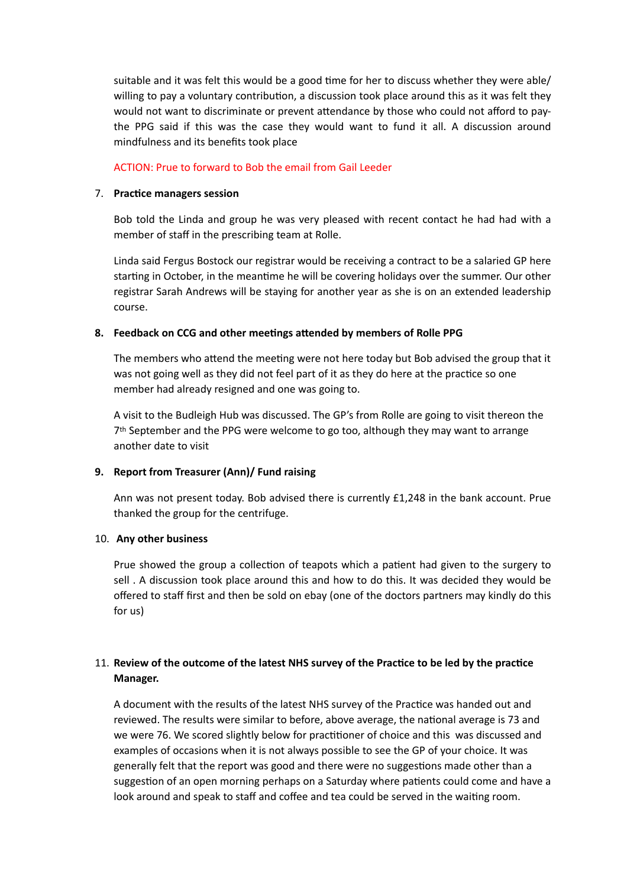suitable and it was felt this would be a good time for her to discuss whether they were able/ willing to pay a voluntary contribution, a discussion took place around this as it was felt they would not want to discriminate or prevent attendance by those who could not afford to paythe PPG said if this was the case they would want to fund it all. A discussion around mindfulness and its benefits took place

#### ACTION: Prue to forward to Bob the email from Gail Leeder

#### 7. **Practice managers session**

Bob told the Linda and group he was very pleased with recent contact he had had with a member of staff in the prescribing team at Rolle.

Linda said Fergus Bostock our registrar would be receiving a contract to be a salaried GP here starting in October, in the meantime he will be covering holidays over the summer. Our other registrar Sarah Andrews will be staying for another year as she is on an extended leadership course.

# 8. Feedback on CCG and other meetings attended by members of Rolle PPG

The members who attend the meeting were not here today but Bob advised the group that it was not going well as they did not feel part of it as they do here at the practice so one member had already resigned and one was going to.

A visit to the Budleigh Hub was discussed. The GP's from Rolle are going to visit thereon the 7th September and the PPG were welcome to go too, although they may want to arrange another date to visit

# **9. Report from Treasurer (Ann)/ Fund raising**

Ann was not present today. Bob advised there is currently £1,248 in the bank account. Prue thanked the group for the centrifuge.

# 10. **Any other business**

Prue showed the group a collection of teapots which a patient had given to the surgery to sell . A discussion took place around this and how to do this. It was decided they would be offered to staff first and then be sold on ebay (one of the doctors partners may kindly do this for us)

# 11. Review of the outcome of the latest NHS survey of the Practice to be led by the practice **Manager.**

A document with the results of the latest NHS survey of the Practice was handed out and reviewed. The results were similar to before, above average, the national average is 73 and we were 76. We scored slightly below for practitioner of choice and this was discussed and examples of occasions when it is not always possible to see the GP of your choice. It was generally felt that the report was good and there were no suggestions made other than a suggestion of an open morning perhaps on a Saturday where patients could come and have a look around and speak to staff and coffee and tea could be served in the waiting room.